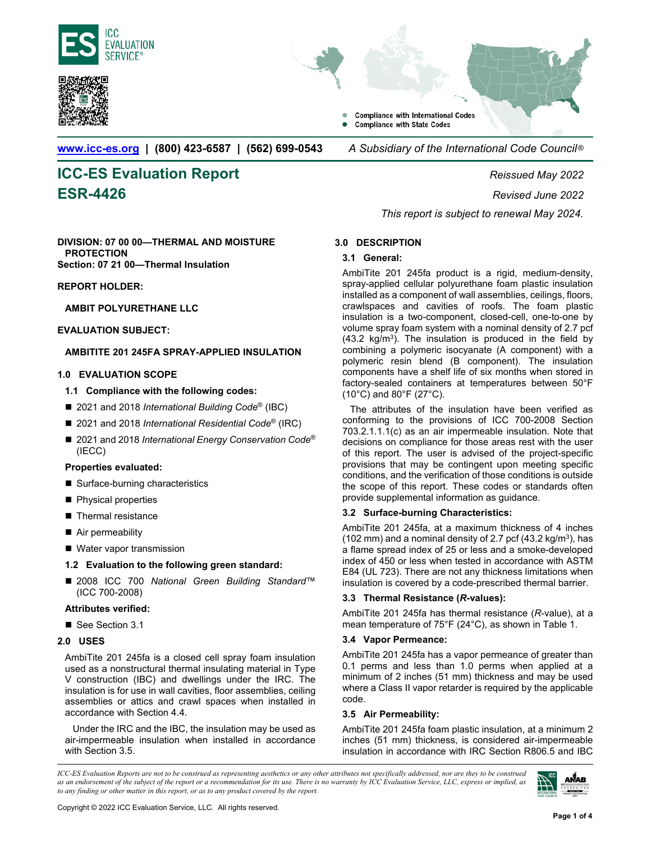





**Compliance with International Codes Compliance with State Codes** 

**www.icc-es.org | (800) 423-6587 | (562) 699-0543** *A Subsidiary of the International Code Council* ®

# **ICC-ES Evaluation Report** *Reissued May 2022*

**ESR-4426** *Revised June 2022 This report is subject to renewal May 2024.*

#### **DIVISION: 07 00 00—THERMAL AND MOISTURE PROTECTION Section: 07 21 00—Thermal Insulation**

# **REPORT HOLDER:**

# **AMBIT POLYURETHANE LLC**

# **EVALUATION SUBJECT:**

# **AMBITITE 201 245FA SPRAY-APPLIED INSULATION**

# **1.0 EVALUATION SCOPE**

# **1.1 Compliance with the following codes:**

- 2021 and 2018 *International Building Code<sup>®</sup>* (IBC)
- 2021 and 2018 *International Residential Code*<sup>®</sup> (IRC)
- 2021 and 2018 *International Energy Conservation Code*<sup>®</sup> (IECC)

# **Properties evaluated:**

- Surface-burning characteristics
- **Physical properties**
- **Thermal resistance**
- Air permeability
- Water vapor transmission

# **1.2 Evaluation to the following green standard:**

■ 2008 ICC 700 National Green Building Standard<sup>™</sup> (ICC 700-2008)

# **Attributes verified:**

■ See Section 3.1

# **2.0 USES**

AmbiTite 201 245fa is a closed cell spray foam insulation used as a nonstructural thermal insulating material in Type V construction (IBC) and dwellings under the IRC. The insulation is for use in wall cavities, floor assemblies, ceiling assemblies or attics and crawl spaces when installed in accordance with Section 4.4.

Under the IRC and the IBC, the insulation may be used as air-impermeable insulation when installed in accordance with Section 3.5.

# **3.0 DESCRIPTION**

# **3.1 General:**

AmbiTite 201 245fa product is a rigid, medium-density, spray-applied cellular polyurethane foam plastic insulation installed as a component of wall assemblies, ceilings, floors, crawlspaces and cavities of roofs. The foam plastic insulation is a two-component, closed-cell, one-to-one by volume spray foam system with a nominal density of 2.7 pcf (43.2  $kg/m<sup>3</sup>$ ). The insulation is produced in the field by combining a polymeric isocyanate (A component) with a polymeric resin blend (B component). The insulation components have a shelf life of six months when stored in factory-sealed containers at temperatures between 50°F (10°C) and 80°F (27°C).

The attributes of the insulation have been verified as conforming to the provisions of ICC 700-2008 Section 703.2.1.1.1(c) as an air impermeable insulation. Note that decisions on compliance for those areas rest with the user of this report. The user is advised of the project-specific provisions that may be contingent upon meeting specific conditions, and the verification of those conditions is outside the scope of this report. These codes or standards often provide supplemental information as guidance.

# **3.2 Surface-burning Characteristics:**

AmbiTite 201 245fa, at a maximum thickness of 4 inches (102 mm) and a nominal density of 2.7 pcf  $(43.2 \text{ kg/m}^3)$ , has a flame spread index of 25 or less and a smoke-developed index of 450 or less when tested in accordance with ASTM E84 (UL 723). There are not any thickness limitations when insulation is covered by a code-prescribed thermal barrier.

# **3.3 Thermal Resistance (***R***-values):**

AmbiTite 201 245fa has thermal resistance (*R*-value), at a mean temperature of 75°F (24°C), as shown in Table 1.

# **3.4 Vapor Permeance:**

AmbiTite 201 245fa has a vapor permeance of greater than 0.1 perms and less than 1.0 perms when applied at a minimum of 2 inches (51 mm) thickness and may be used where a Class II vapor retarder is required by the applicable code.

# **3.5 Air Permeability:**

AmbiTite 201 245fa foam plastic insulation, at a minimum 2 inches (51 mm) thickness, is considered air-impermeable insulation in accordance with IRC Section R806.5 and IBC

*ICC-ES Evaluation Reports are not to be construed as representing aesthetics or any other attributes not specifically addressed, nor are they to be construed as an endorsement of the subject of the report or a recommendation for its use. There is no warranty by ICC Evaluation Service, LLC, express or implied, as to any finding or other matter in this report, or as to any product covered by the report.*

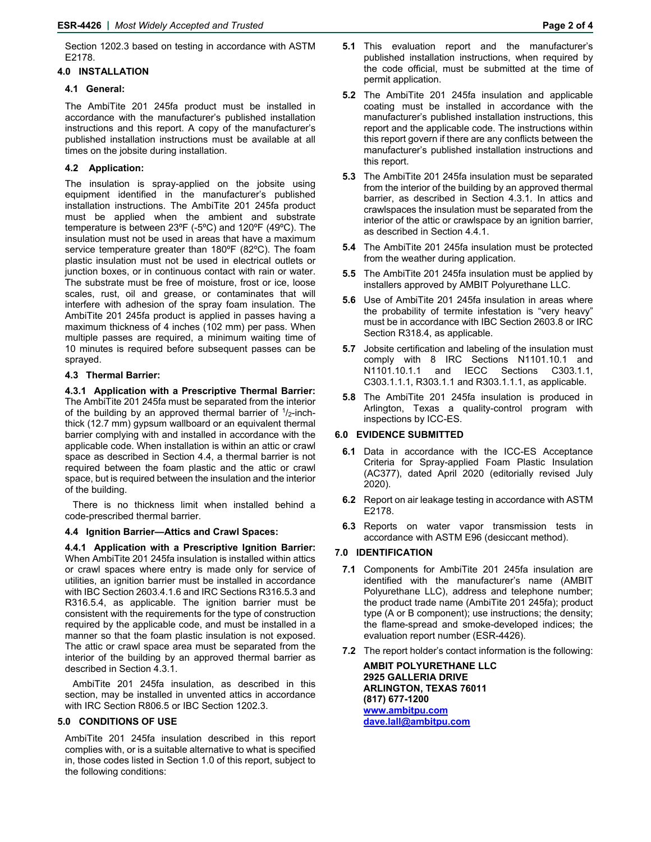Section 1202.3 based on testing in accordance with ASTM E2178.

#### **4.0 INSTALLATION**

#### **4.1 General:**

The AmbiTite 201 245fa product must be installed in accordance with the manufacturer's published installation instructions and this report. A copy of the manufacturer's published installation instructions must be available at all times on the jobsite during installation.

#### **4.2 Application:**

The insulation is spray-applied on the jobsite using equipment identified in the manufacturer's published installation instructions. The AmbiTite 201 245fa product must be applied when the ambient and substrate temperature is between 23ºF (-5ºC) and 120ºF (49ºC). The insulation must not be used in areas that have a maximum service temperature greater than 180ºF (82ºC). The foam plastic insulation must not be used in electrical outlets or junction boxes, or in continuous contact with rain or water. The substrate must be free of moisture, frost or ice, loose scales, rust, oil and grease, or contaminates that will interfere with adhesion of the spray foam insulation. The AmbiTite 201 245fa product is applied in passes having a maximum thickness of 4 inches (102 mm) per pass. When multiple passes are required, a minimum waiting time of 10 minutes is required before subsequent passes can be sprayed.

#### **4.3 Thermal Barrier:**

**4.3.1 Application with a Prescriptive Thermal Barrier:**  The AmbiTite 201 245fa must be separated from the interior of the building by an approved thermal barrier of  $\frac{1}{2}$ -inchthick (12.7 mm) gypsum wallboard or an equivalent thermal barrier complying with and installed in accordance with the applicable code. When installation is within an attic or crawl space as described in Section 4.4, a thermal barrier is not required between the foam plastic and the attic or crawl space, but is required between the insulation and the interior of the building.

There is no thickness limit when installed behind a code-prescribed thermal barrier.

#### **4.4 Ignition Barrier—Attics and Crawl Spaces:**

**4.4.1 Application with a Prescriptive Ignition Barrier:** When AmbiTite 201 245fa insulation is installed within attics or crawl spaces where entry is made only for service of utilities, an ignition barrier must be installed in accordance with IBC Section 2603.4.1.6 and IRC Sections R316.5.3 and R316.5.4, as applicable. The ignition barrier must be consistent with the requirements for the type of construction required by the applicable code, and must be installed in a manner so that the foam plastic insulation is not exposed. The attic or crawl space area must be separated from the interior of the building by an approved thermal barrier as described in Section 4.3.1.

AmbiTite 201 245fa insulation, as described in this section, may be installed in unvented attics in accordance with IRC Section R806.5 or IBC Section 1202.3.

### **5.0 CONDITIONS OF USE**

AmbiTite 201 245fa insulation described in this report complies with, or is a suitable alternative to what is specified in, those codes listed in Section 1.0 of this report, subject to the following conditions:

- **5.1** This evaluation report and the manufacturer's published installation instructions, when required by the code official, must be submitted at the time of permit application.
- **5.2** The AmbiTite 201 245fa insulation and applicable coating must be installed in accordance with the manufacturer's published installation instructions, this report and the applicable code. The instructions within this report govern if there are any conflicts between the manufacturer's published installation instructions and this report.
- **5.3** The AmbiTite 201 245fa insulation must be separated from the interior of the building by an approved thermal barrier, as described in Section 4.3.1. In attics and crawlspaces the insulation must be separated from the interior of the attic or crawlspace by an ignition barrier, as described in Section 4.4.1.
- **5.4** The AmbiTite 201 245fa insulation must be protected from the weather during application.
- **5.5** The AmbiTite 201 245fa insulation must be applied by installers approved by AMBIT Polyurethane LLC.
- **5.6** Use of AmbiTite 201 245fa insulation in areas where the probability of termite infestation is "very heavy" must be in accordance with IBC Section 2603.8 or IRC Section R318.4, as applicable.
- **5.7** Jobsite certification and labeling of the insulation must comply with 8 IRC Sections N1101.10.1 and N1101.10.1.1 and IECC Sections C303.1.1, C303.1.1.1, R303.1.1 and R303.1.1.1, as applicable.
- **5.8** The AmbiTite 201 245fa insulation is produced in Arlington, Texas a quality-control program with inspections by ICC-ES.

### **6.0 EVIDENCE SUBMITTED**

- **6.1** Data in accordance with the ICC-ES Acceptance Criteria for Spray-applied Foam Plastic Insulation (AC377), dated April 2020 (editorially revised July 2020).
- **6.2** Report on air leakage testing in accordance with ASTM E2178.
- **6.3** Reports on water vapor transmission tests in accordance with ASTM E96 (desiccant method).

### **7.0 IDENTIFICATION**

- **7.1** Components for AmbiTite 201 245fa insulation are identified with the manufacturer's name (AMBIT Polyurethane LLC), address and telephone number; the product trade name (AmbiTite 201 245fa); product type (A or B component); use instructions; the density; the flame-spread and smoke-developed indices; the evaluation report number (ESR-4426).
- **7.2** The report holder's contact information is the following:

**AMBIT POLYURETHANE LLC 2925 GALLERIA DRIVE ARLINGTON, TEXAS 76011 (817) 677-1200 www.ambitpu.com dave.lall@ambitpu.com**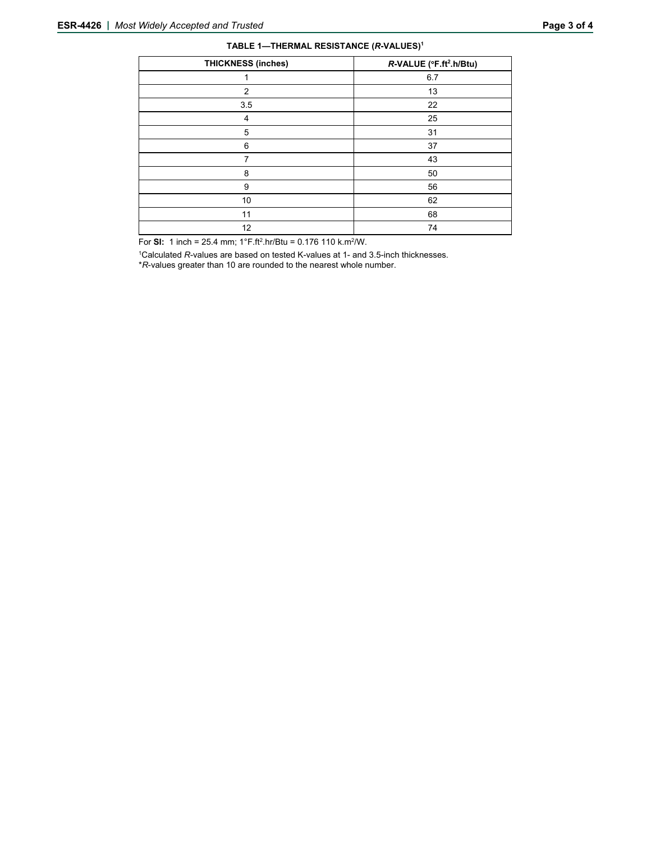| TABLE 1-THERMAL RESISTANCE (R-VALUES) <sup>1</sup> |  |
|----------------------------------------------------|--|
|----------------------------------------------------|--|

| <b>THICKNESS (inches)</b> | R-VALUE (°F.ft <sup>2</sup> .h/Btu) |
|---------------------------|-------------------------------------|
|                           | 6.7                                 |
| 2                         | 13                                  |
| 3.5                       | 22                                  |
| 4                         | 25                                  |
| 5                         | 31                                  |
| 6                         | 37                                  |
| 7                         | 43                                  |
| 8                         | 50                                  |
| 9                         | 56                                  |
| 10                        | 62                                  |
| 11                        | 68                                  |
| 12                        | 74                                  |

For **SI:** 1 inch = 25.4 mm;  $1^{\circ}$ F.ft<sup>2</sup>.hr/Btu = 0.176 110 k.m<sup>2</sup>/W.

<sup>1</sup>Calculated *R*-values are based on tested K-values at 1- and 3.5-inch thicknesses.

\**R*-values greater than 10 are rounded to the nearest whole number.